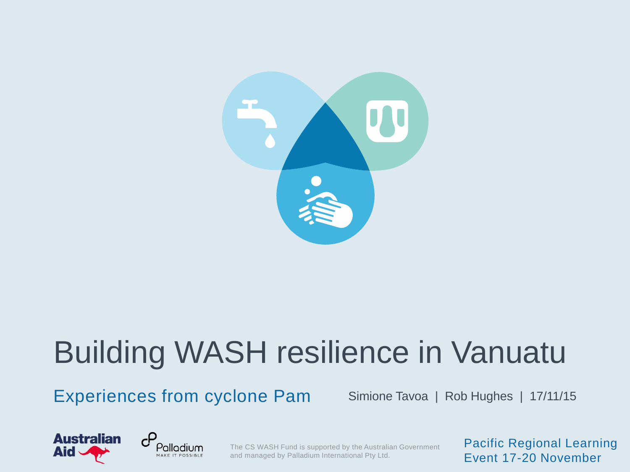

# Building WASH resilience in Vanuatu

Experiences from cyclone Pam Simione Tavoa | Rob Hughes | 17/11/15





The CS WASH Fund is supported by the Australian Government and managed by Palladium International Pty Ltd.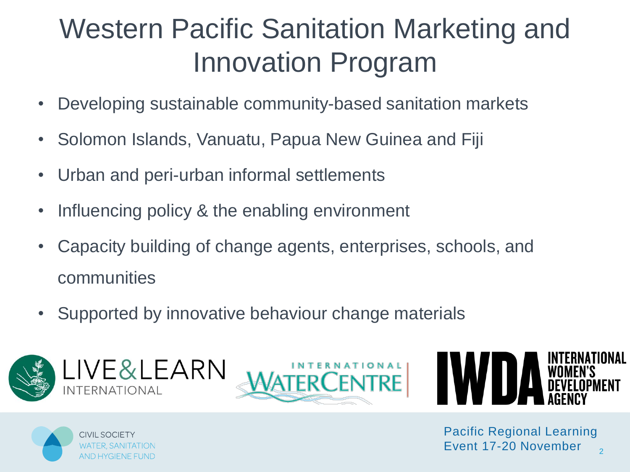#### Western Pacific Sanitation Marketing and Innovation Program

- Developing sustainable community-based sanitation markets
- Solomon Islands, Vanuatu, Papua New Guinea and Fiji
- Urban and peri-urban informal settlements
- Influencing policy & the enabling environment
- Capacity building of change agents, enterprises, schools, and communities
- Supported by innovative behaviour change materials







CIVIL SOCIETY

 $\overline{2}$ Pacific Regional Learning Event 17-20 November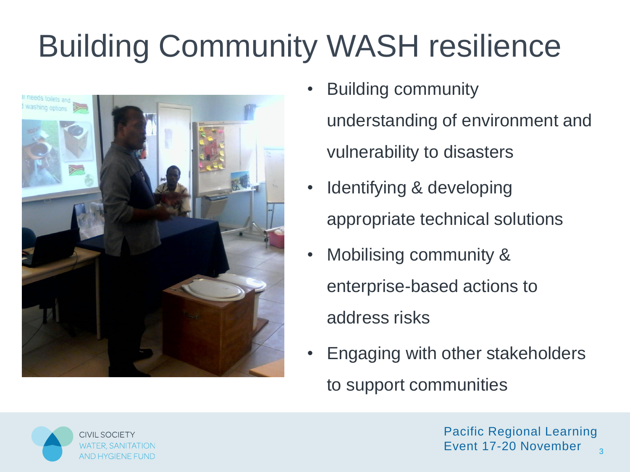# Building Community WASH resilience



- Building community understanding of environment and vulnerability to disasters
- Identifying & developing appropriate technical solutions
- Mobilising community & enterprise-based actions to address risks
- Engaging with other stakeholders to support communities

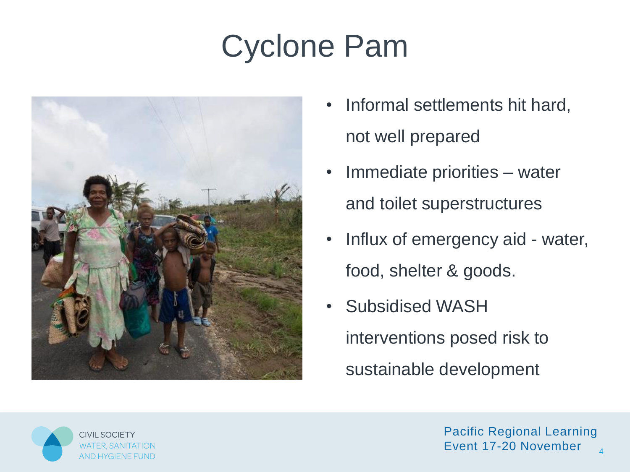# Cyclone Pam



- Informal settlements hit hard, not well prepared
- Immediate priorities water and toilet superstructures
- Influx of emergency aid water, food, shelter & goods.
- Subsidised WASH interventions posed risk to sustainable development

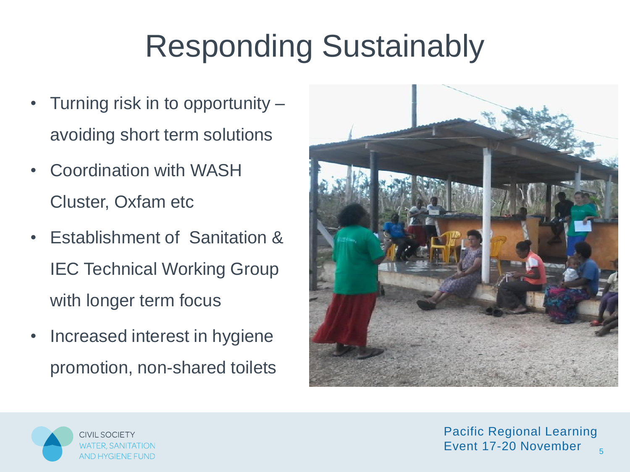# Responding Sustainably

- Turning risk in to opportunity avoiding short term solutions
- Coordination with WASH Cluster, Oxfam etc
- Establishment of Sanitation & IEC Technical Working Group with longer term focus
- Increased interest in hygiene promotion, non-shared toilets



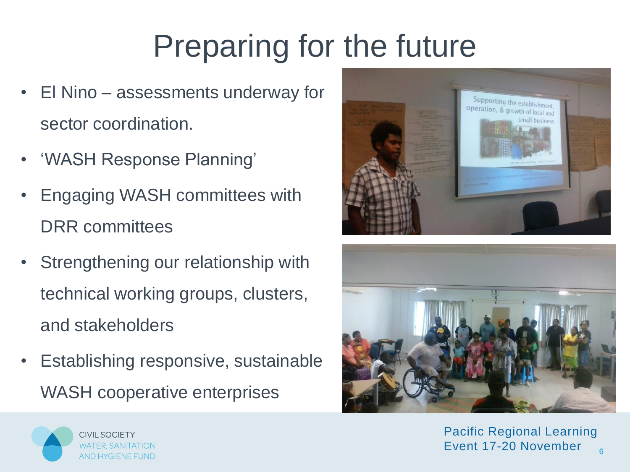# Preparing for the future

- El Nino assessments underway for sector coordination.
- 'WASH Response Planning'
- Engaging WASH committees with DRR committees
- Strengthening our relationship with technical working groups, clusters, and stakeholders
- Establishing responsive, sustainable WASH cooperative enterprises